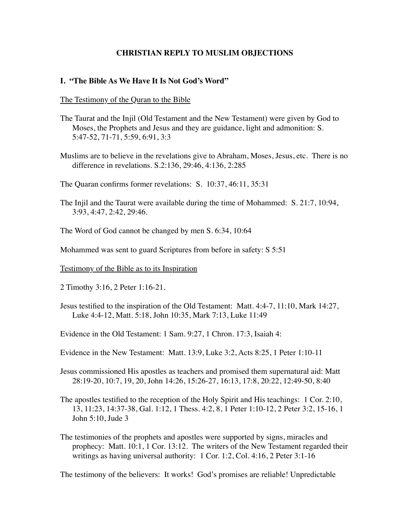# **CHRISTIAN REPLY TO MUSLIM OBJECTIONS**

#### **I. "The Bible As We Have It Is Not God's Word"**

#### The Testimony of the Quran to the Bible

- The Taurat and the Injil (Old Testament and the New Testament) were given by God to Moses, the Prophets and Jesus and they are guidance, light and admonition: S. 5:47-52, 71-71, 5:59, 6:91, 3:3
- Muslims are to believe in the revelations give to Abraham, Moses, Jesus, etc. There is no difference in revelations. S.2:136, 29:46, 4:136, 2:285

The Quaran confirms former revelations: S. 10:37, 46:11, 35:31

The Injil and the Taurat were available during the time of Mohammed: S. 21:7, 10:94, 3:93, 4:47, 2:42, 29:46.

The Word of God cannot be changed by men S. 6:34, 10:64

Mohammed was sent to guard Scriptures from before in safety: S 5:51

Testimony of the Bible as to its Inspiration

2 Timothy 3:16, 2 Peter 1:16-21.

Jesus testified to the inspiration of the Old Testament: Matt. 4:4-7, 11:10, Mark 14:27, Luke 4:4-12, Matt. 5:18, John 10:35, Mark 7:13, Luke 11:49

Evidence in the Old Testament: 1 Sam. 9:27, 1 Chron. 17:3, Isaiah 4:

Evidence in the New Testament: Matt. 13:9, Luke 3:2, Acts 8:25, 1 Peter 1:10-11

Jesus commissioned His apostles as teachers and promised them supernatural aid: Matt 28:19-20, 10:7, 19, 20, John 14:26, 15:26-27, 16:13, 17:8, 20:22, 12:49-50, 8:40

The apostles testified to the reception of the Holy Spirit and His teachings: 1 Cor. 2:10, 13, 11:23, 14:37-38, Gal. 1:12, 1 Thess. 4:2, 8, 1 Peter 1:10-12, 2 Peter 3:2, 15-16, 1 John 5:10, Jude 3

The testimonies of the prophets and apostles were supported by signs, miracles and prophecy: Matt. 10:1, 1 Cor. 13:12. The writers of the New Testament regarded their writings as having universal authority: 1 Cor. 1:2, Col. 4:16, 2 Peter 3:1-16

The testimony of the believers: It works! God's promises are reliable! Unpredictable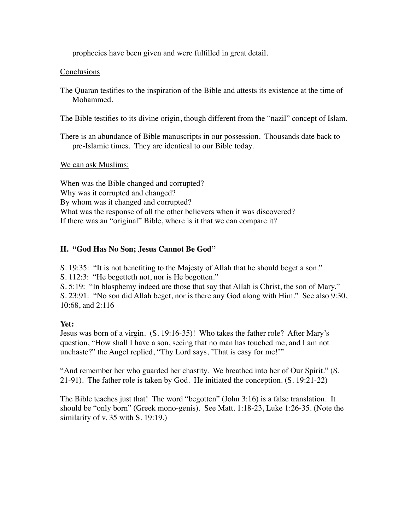prophecies have been given and were fulfilled in great detail.

# Conclusions

The Quaran testifies to the inspiration of the Bible and attests its existence at the time of Mohammed.

The Bible testifies to its divine origin, though different from the "nazil" concept of Islam.

There is an abundance of Bible manuscripts in our possession. Thousands date back to pre-Islamic times. They are identical to our Bible today.

# We can ask Muslims:

When was the Bible changed and corrupted? Why was it corrupted and changed? By whom was it changed and corrupted? What was the response of all the other believers when it was discovered? If there was an "original" Bible, where is it that we can compare it?

# **II. "God Has No Son; Jesus Cannot Be God"**

S. 19:35: "It is not benefiting to the Majesty of Allah that he should beget a son."

S. 112:3: "He begetteth not, nor is He begotten."

S. 5:19: "In blasphemy indeed are those that say that Allah is Christ, the son of Mary." S. 23:91: "No son did Allah beget, nor is there any God along with Him." See also 9:30, 10:68, and 2:116

# **Yet:**

Jesus was born of a virgin. (S. 19:16-35)! Who takes the father role? After Mary's question, "How shall I have a son, seeing that no man has touched me, and I am not unchaste?" the Angel replied, "Thy Lord says, 'That is easy for me!'"

"And remember her who guarded her chastity. We breathed into her of Our Spirit." (S. 21-91). The father role is taken by God. He initiated the conception. (S. 19:21-22)

The Bible teaches just that! The word "begotten" (John 3:16) is a false translation. It should be "only born" (Greek mono-genis). See Matt. 1:18-23, Luke 1:26-35. (Note the similarity of v. 35 with S. 19:19.)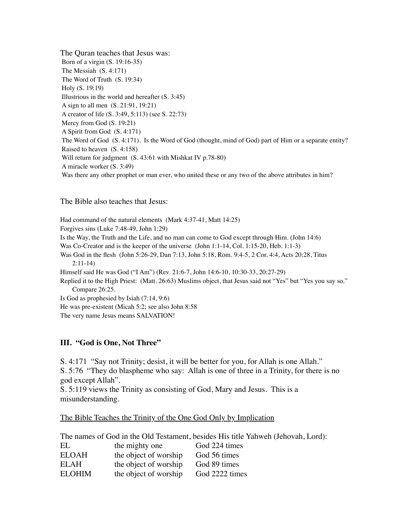The Quran teaches that Jesus was: Born of a virgin (S. 19:16-35) The Messiah (S. 4:171) The Word of Truth (S. 19:34) Holy (S. 19:19) Illustrious in the world and hereafter (S. 3:45) A sign to all men (S. 21:91, 19:21) A creator of life (S. 3:49, 5:113) (see S. 22:73) Mercy from God (S. 19:21) A Spirit from God (S. 4:171) The Word of God (S. 4:171). Is the Word of God (thought, mind of God) part of Him or a separate entity? Raised to heaven (S. 4:158) Will return for judgment (S. 43:61 with Mishkat IV p.78-80) A miracle worker (S. 3:49) Was there any other prophet or man ever, who united these or any two of the above attributes in him?

The Bible also teaches that Jesus:

Had command of the natural elements (Mark 4:37-41, Matt 14:25) Forgives sins (Luke 7:48-49, John 1:29) Is the Way, the Truth and the Life, and no man can come to God except through Him. (John 14:6) Was Co-Creator and is the keeper of the universe (John 1:1-14, Col. 1:15-20, Heb. 1:1-3) Was God in the flesh (John 5:26-29, Dan 7:13, John 5:18, Rom. 9:4-5, 2 Cor. 4:4, Acts 20:28, Titus 2:11-14) Himself said He was God ("I Am") (Rev. 21:6-7, John 14:6-10, 10:30-33, 20:27-29) Replied it to the High Priest: (Matt. 26:63) Muslims object, that Jesus said not "Yes" but "Yes you say so." Compare 26:25. Is God as prophesied by Isiah (7:14, 9:6) He was pre-existent (Micah 5:2; see also John 8:58

#### The very name Jesus means SALVATION!

#### **III. "God is One, Not Three"**

S. 4:171 "Say not Trinity; desist, it will be better for you, for Allah is one Allah." S. 5:76 "They do blaspheme who say: Allah is one of three in a Trinity, for there is no god except Allah".

S. 5:119 views the Trinity as consisting of God, Mary and Jesus. This is a misunderstanding.

The Bible Teaches the Trinity of the One God Only by Implication

The names of God in the Old Testament, besides His title Yahweh (Jehovah, Lord):

| EL            | the mighty one        | God 224 times  |
|---------------|-----------------------|----------------|
| <b>ELOAH</b>  | the object of worship | God 56 times   |
| ELAH          | the object of worship | God 89 times   |
| <b>ELOHIM</b> | the object of worship | God 2222 times |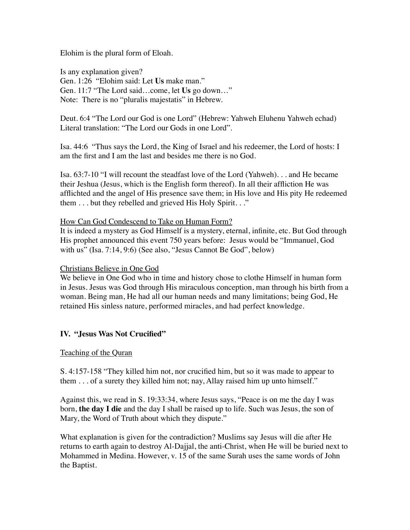Elohim is the plural form of Eloah.

Is any explanation given? Gen. 1:26 "Elohim said: Let **Us** make man." Gen. 11:7 "The Lord said…come, let **Us** go down…" Note: There is no "pluralis majestatis" in Hebrew.

Deut. 6:4 "The Lord our God is one Lord" (Hebrew: Yahweh Eluhenu Yahweh echad) Literal translation: "The Lord our Gods in one Lord".

Isa. 44:6 "Thus says the Lord, the King of Israel and his redeemer, the Lord of hosts: I am the first and I am the last and besides me there is no God.

Isa. 63:7-10 "I will recount the steadfast love of the Lord (Yahweh). . . and He became their Jeshua (Jesus, which is the English form thereof). In all their affliction He was afflichted and the angel of His presence save them; in His love and His pity He redeemed them . . . but they rebelled and grieved His Holy Spirit. . ."

# How Can God Condescend to Take on Human Form?

It is indeed a mystery as God Himself is a mystery, eternal, infinite, etc. But God through His prophet announced this event 750 years before: Jesus would be "Immanuel, God with us" (Isa. 7:14, 9:6) (See also, "Jesus Cannot Be God", below)

# Christians Believe in One God

We believe in One God who in time and history chose to clothe Himself in human form in Jesus. Jesus was God through His miraculous conception, man through his birth from a woman. Being man, He had all our human needs and many limitations; being God, He retained His sinless nature, performed miracles, and had perfect knowledge.

# **IV. "Jesus Was Not Crucified"**

#### Teaching of the Quran

S. 4:157-158 "They killed him not, nor crucified him, but so it was made to appear to them . . . of a surety they killed him not; nay, Allay raised him up unto himself."

Against this, we read in S. 19:33:34, where Jesus says, "Peace is on me the day I was born, **the day I die** and the day I shall be raised up to life. Such was Jesus, the son of Mary, the Word of Truth about which they dispute."

What explanation is given for the contradiction? Muslims say Jesus will die after He returns to earth again to destroy Al-Dajjal, the anti-Christ, when He will be buried next to Mohammed in Medina. However, v. 15 of the same Surah uses the same words of John the Baptist.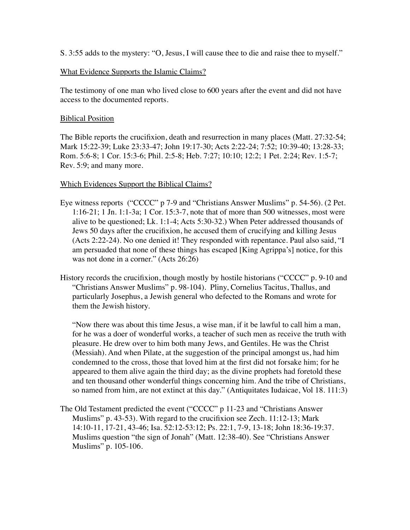S. 3:55 adds to the mystery: "O, Jesus, I will cause thee to die and raise thee to myself."

# What Evidence Supports the Islamic Claims?

The testimony of one man who lived close to 600 years after the event and did not have access to the documented reports.

## Biblical Position

The Bible reports the crucifixion, death and resurrection in many places (Matt. 27:32-54; Mark 15:22-39; Luke 23:33-47; John 19:17-30; Acts 2:22-24; 7:52; 10:39-40; 13:28-33; Rom. 5:6-8; 1 Cor. 15:3-6; Phil. 2:5-8; Heb. 7:27; 10:10; 12:2; 1 Pet. 2:24; Rev. 1:5-7; Rev. 5:9; and many more.

#### Which Evidences Support the Biblical Claims?

- Eye witness reports ("CCCC" p 7-9 and "Christians Answer Muslims" p. 54-56). (2 Pet. 1:16-21; 1 Jn. 1:1-3a; 1 Cor. 15:3-7, note that of more than 500 witnesses, most were alive to be questioned; Lk. 1:1-4; Acts 5:30-32.) When Peter addressed thousands of Jews 50 days after the crucifixion, he accused them of crucifying and killing Jesus (Acts 2:22-24). No one denied it! They responded with repentance. Paul also said, "I am persuaded that none of these things has escaped [King Agrippa's] notice, for this was not done in a corner." (Acts 26:26)
- History records the crucifixion, though mostly by hostile historians ("CCCC" p. 9-10 and "Christians Answer Muslims" p. 98-104). Pliny, Cornelius Tacitus, Thallus, and particularly Josephus, a Jewish general who defected to the Romans and wrote for them the Jewish history.

"Now there was about this time Jesus, a wise man, if it be lawful to call him a man, for he was a doer of wonderful works, a teacher of such men as receive the truth with pleasure. He drew over to him both many Jews, and Gentiles. He was the Christ (Messiah). And when Pilate, at the suggestion of the principal amongst us, had him condemned to the cross, those that loved him at the first did not forsake him; for he appeared to them alive again the third day; as the divine prophets had foretold these and ten thousand other wonderful things concerning him. And the tribe of Christians, so named from him, are not extinct at this day." (Antiquitates Iudaicae, Vol 18. 111:3)

The Old Testament predicted the event ("CCCC" p 11-23 and "Christians Answer Muslims" p. 43-53). With regard to the crucifixion see Zech. 11:12-13; Mark 14:10-11, 17-21, 43-46; Isa. 52:12-53:12; Ps. 22:1, 7-9, 13-18; John 18:36-19:37. Muslims question "the sign of Jonah" (Matt. 12:38-40). See "Christians Answer Muslims" p. 105-106.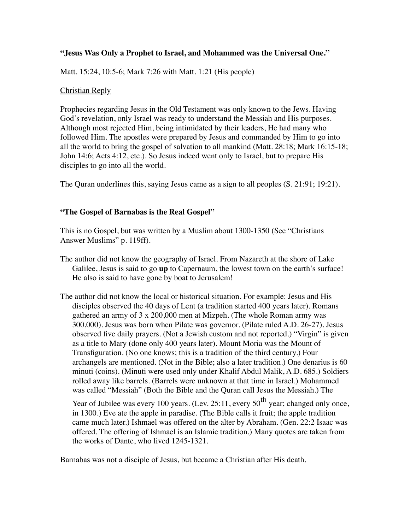# **"Jesus Was Only a Prophet to Israel, and Mohammed was the Universal One."**

Matt. 15:24, 10:5-6; Mark 7:26 with Matt. 1:21 (His people)

## Christian Reply

Prophecies regarding Jesus in the Old Testament was only known to the Jews. Having God's revelation, only Israel was ready to understand the Messiah and His purposes. Although most rejected Him, being intimidated by their leaders, He had many who followed Him. The apostles were prepared by Jesus and commanded by Him to go into all the world to bring the gospel of salvation to all mankind (Matt. 28:18; Mark 16:15-18; John 14:6; Acts 4:12, etc.). So Jesus indeed went only to Israel, but to prepare His disciples to go into all the world.

The Quran underlines this, saying Jesus came as a sign to all peoples (S. 21:91; 19:21).

# **"The Gospel of Barnabas is the Real Gospel"**

This is no Gospel, but was written by a Muslim about 1300-1350 (See "Christians Answer Muslims" p. 119ff).

- The author did not know the geography of Israel. From Nazareth at the shore of Lake Galilee, Jesus is said to go **up** to Capernaum, the lowest town on the earth's surface! He also is said to have gone by boat to Jerusalem!
- The author did not know the local or historical situation. For example: Jesus and His disciples observed the 40 days of Lent (a tradition started 400 years later). Romans gathered an army of 3 x 200,000 men at Mizpeh. (The whole Roman army was 300,000). Jesus was born when Pilate was governor. (Pilate ruled A.D. 26-27). Jesus observed five daily prayers. (Not a Jewish custom and not reported.) "Virgin" is given as a title to Mary (done only 400 years later). Mount Moria was the Mount of Transfiguration. (No one knows; this is a tradition of the third century.) Four archangels are mentioned. (Not in the Bible; also a later tradition.) One denarius is 60 minuti (coins). (Minuti were used only under Khalif Abdul Malik, A.D. 685.) Soldiers rolled away like barrels. (Barrels were unknown at that time in Israel.) Mohammed was called "Messiah" (Both the Bible and the Quran call Jesus the Messiah.) The

Year of Jubilee was every 100 years. (Lev. 25:11, every  $50^{th}$  year; changed only once, in 1300.) Eve ate the apple in paradise. (The Bible calls it fruit; the apple tradition came much later.) Ishmael was offered on the alter by Abraham. (Gen. 22:2 Isaac was offered. The offering of Ishmael is an Islamic tradition.) Many quotes are taken from the works of Dante, who lived 1245-1321.

Barnabas was not a disciple of Jesus, but became a Christian after His death.